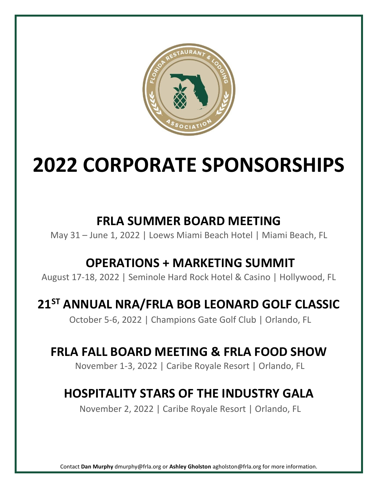

# **2022 CORPORATE SPONSORSHIPS**

# **FRLA SUMMER BOARD MEETING**

May 31 – June 1, 2022 | Loews Miami Beach Hotel | Miami Beach, FL

# **OPERATIONS + MARKETING SUMMIT**

August 17-18, 2022 | Seminole Hard Rock Hotel & Casino | Hollywood, FL

# **21ST ANNUAL NRA/FRLA BOB LEONARD GOLF CLASSIC**

October 5-6, 2022 | Champions Gate Golf Club | Orlando, FL

# **FRLA FALL BOARD MEETING & FRLA FOOD SHOW**

November 1-3, 2022 | Caribe Royale Resort | Orlando, FL

# **HOSPITALITY STARS OF THE INDUSTRY GALA**

November 2, 2022 | Caribe Royale Resort | Orlando, FL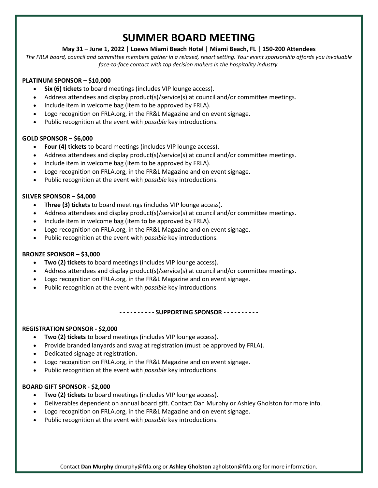## **SUMMER BOARD MEETING**

#### **May 31 – June 1, 2022 | Loews Miami Beach Hotel | Miami Beach, FL | 150-200 Attendees**

*The FRLA board, council and committee members gather in a relaxed, resort setting. Your event sponsorship affords you invaluable face-to-face contact with top decision makers in the hospitality industry.*

#### **PLATINUM SPONSOR – \$10,000**

- **Six (6) tickets** to board meetings (includes VIP lounge access).
- Address attendees and display product(s)/service(s) at council and/or committee meetings.
- Include item in welcome bag (item to be approved by FRLA).
- Logo recognition on FRLA.org, in the FR&L Magazine and on event signage.
- Public recognition at the event with *possible* key introductions.

#### **GOLD SPONSOR – \$6,000**

- **Four (4) tickets** to board meetings (includes VIP lounge access).
- Address attendees and display product(s)/service(s) at council and/or committee meetings.
- Include item in welcome bag (item to be approved by FRLA).
- Logo recognition on FRLA.org, in the FR&L Magazine and on event signage.
- Public recognition at the event with *possible* key introductions.

#### **SILVER SPONSOR – \$4,000**

- **Three (3) tickets** to board meetings (includes VIP lounge access).
- Address attendees and display product(s)/service(s) at council and/or committee meetings.
- Include item in welcome bag (item to be approved by FRLA).
- Logo recognition on FRLA.org, in the FR&L Magazine and on event signage.
- Public recognition at the event with *possible* key introductions.

#### **BRONZE SPONSOR – \$3,000**

- **Two (2) tickets** to board meetings (includes VIP lounge access).
- Address attendees and display product(s)/service(s) at council and/or committee meetings.
- Logo recognition on FRLA.org, in the FR&L Magazine and on event signage.
- Public recognition at the event with *possible* key introductions.

#### **- - - - - - - - - - SUPPORTING SPONSOR - - - - - - - - - -**

#### **REGISTRATION SPONSOR - \$2,000**

- **Two (2) tickets** to board meetings (includes VIP lounge access).
- Provide branded lanyards and swag at registration (must be approved by FRLA).
- Dedicated signage at registration.
- Logo recognition on FRLA.org, in the FR&L Magazine and on event signage.
- Public recognition at the event with *possible* key introductions.

#### **BOARD GIFT SPONSOR - \$2,000**

- **Two (2) tickets** to board meetings (includes VIP lounge access).
- Deliverables dependent on annual board gift. Contact Dan Murphy or Ashley Gholston for more info.
- Logo recognition on FRLA.org, in the FR&L Magazine and on event signage.
- Public recognition at the event with *possible* key introductions.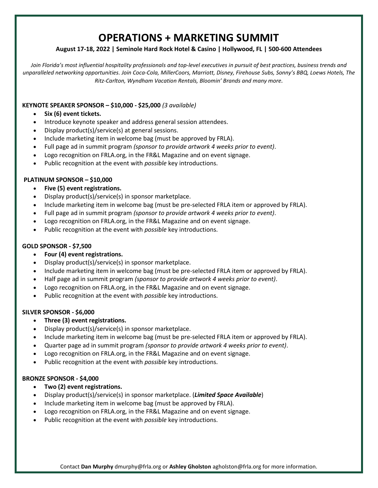### **OPERATIONS + MARKETING SUMMIT**

#### **August 17-18, 2022 | Seminole Hard Rock Hotel & Casino | Hollywood, FL | 500-600 Attendees**

*Join Florida's most influential hospitality professionals and top-level executives in pursuit of best practices, business trends and unparalleled networking opportunities. Join Coca-Cola, MillerCoors, Marriott, Disney, Firehouse Subs, Sonny's BBQ, Loews Hotels, The Ritz-Carlton, Wyndham Vacation Rentals, Bloomin' Brands and many more.*

#### **KEYNOTE SPEAKER SPONSOR – \$10,000 - \$25,000** *(3 available)*

- **Six (6) event tickets.**
- Introduce keynote speaker and address general session attendees.
- Display product(s)/service(s) at general sessions.
- Include marketing item in welcome bag (must be approved by FRLA).
- Full page ad in summit program *(sponsor to provide artwork 4 weeks prior to event)*.
- Logo recognition on FRLA.org, in the FR&L Magazine and on event signage.
- Public recognition at the event with *possible* key introductions.

#### **PLATINUM SPONSOR – \$10,000**

- **Five (5) event registrations.**
- Display product(s)/service(s) in sponsor marketplace.
- Include marketing item in welcome bag (must be pre-selected FRLA item or approved by FRLA).
- Full page ad in summit program *(sponsor to provide artwork 4 weeks prior to event)*.
- Logo recognition on FRLA.org, in the FR&L Magazine and on event signage.
- Public recognition at the event with *possible* key introductions.

#### **GOLD SPONSOR ‐ \$7,500**

- **Four (4) event registrations.**
- Display product(s)/service(s) in sponsor marketplace.
- Include marketing item in welcome bag (must be pre-selected FRLA item or approved by FRLA).
- Half page ad in summit program *(sponsor to provide artwork 4 weeks prior to event)*.
- Logo recognition on FRLA.org, in the FR&L Magazine and on event signage.
- Public recognition at the event with *possible* key introductions.

#### **SILVER SPONSOR ‐ \$6,000**

- **Three (3) event registrations.**
- Display product(s)/service(s) in sponsor marketplace.
- Include marketing item in welcome bag (must be pre-selected FRLA item or approved by FRLA).
- Quarter page ad in summit program *(sponsor to provide artwork 4 weeks prior to event)*.
- Logo recognition on FRLA.org, in the FR&L Magazine and on event signage.
- Public recognition at the event with *possible* key introductions.

#### **BRONZE SPONSOR ‐ \$4,000**

- **Two (2) event registrations.**
- Display product(s)/service(s) in sponsor marketplace. (*Limited Space Available*)
- Include marketing item in welcome bag (must be approved by FRLA).
- Logo recognition on FRLA.org, in the FR&L Magazine and on event signage.
- Public recognition at the event with *possible* key introductions.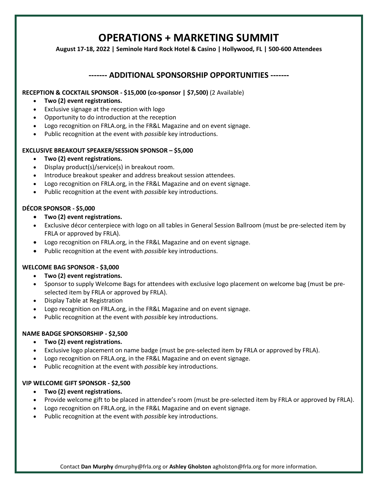### **OPERATIONS + MARKETING SUMMIT**

**August 17-18, 2022 | Seminole Hard Rock Hotel & Casino | Hollywood, FL | 500-600 Attendees**

#### **------- ADDITIONAL SPONSORSHIP OPPORTUNITIES -------**

#### **RECEPTION & COCKTAIL SPONSOR - \$15,000 (co-sponsor | \$7,500)** (2 Available)

- **Two (2) event registrations.**
- Exclusive signage at the reception with logo
- Opportunity to do introduction at the reception
- Logo recognition on FRLA.org, in the FR&L Magazine and on event signage.
- Public recognition at the event with *possible* key introductions.

#### **EXCLUSIVE BREAKOUT SPEAKER/SESSION SPONSOR – \$5,000**

- **Two (2) event registrations.**
- Display product(s)/service(s) in breakout room.
- Introduce breakout speaker and address breakout session attendees.
- Logo recognition on FRLA.org, in the FR&L Magazine and on event signage.
- Public recognition at the event with *possible* key introductions.

#### **DÉCOR SPONSOR - \$5,000**

- **Two (2) event registrations.**
- Exclusive décor centerpiece with logo on all tables in General Session Ballroom (must be pre-selected item by FRLA or approved by FRLA).
- Logo recognition on FRLA.org, in the FR&L Magazine and on event signage.
- Public recognition at the event with *possible* key introductions.

#### **WELCOME BAG SPONSOR - \$3,000**

- **Two (2) event registrations.**
- Sponsor to supply Welcome Bags for attendees with exclusive logo placement on welcome bag (must be preselected item by FRLA or approved by FRLA).
- Display Table at Registration
- Logo recognition on FRLA.org, in the FR&L Magazine and on event signage.
- Public recognition at the event with *possible* key introductions.

#### **NAME BADGE SPONSORSHIP - \$2,500**

- **Two (2) event registrations.**
- Exclusive logo placement on name badge (must be pre-selected item by FRLA or approved by FRLA).
- Logo recognition on FRLA.org, in the FR&L Magazine and on event signage.
- Public recognition at the event with *possible* key introductions.

#### **VIP WELCOME GIFT SPONSOR - \$2,500**

- **Two (2) event registrations.**
- Provide welcome gift to be placed in attendee's room (must be pre-selected item by FRLA or approved by FRLA).
- Logo recognition on FRLA.org, in the FR&L Magazine and on event signage.
- Public recognition at the event with *possible* key introductions.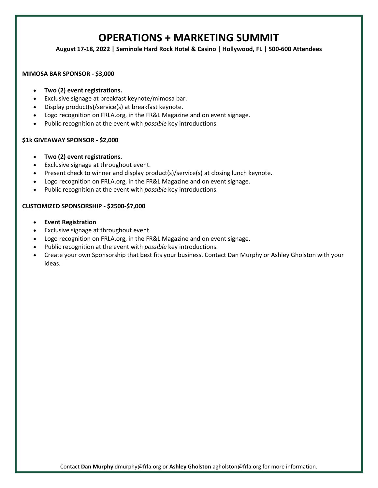### **OPERATIONS + MARKETING SUMMIT**

**August 17-18, 2022 | Seminole Hard Rock Hotel & Casino | Hollywood, FL | 500-600 Attendees**

#### **MIMOSA BAR SPONSOR - \$3,000**

- **Two (2) event registrations.**
- Exclusive signage at breakfast keynote/mimosa bar.
- Display product(s)/service(s) at breakfast keynote.
- Logo recognition on FRLA.org, in the FR&L Magazine and on event signage.
- Public recognition at the event with *possible* key introductions.

#### **\$1k GIVEAWAY SPONSOR - \$2,000**

- **Two (2) event registrations.**
- Exclusive signage at throughout event.
- Present check to winner and display product(s)/service(s) at closing lunch keynote.
- Logo recognition on FRLA.org, in the FR&L Magazine and on event signage.
- Public recognition at the event with *possible* key introductions.

#### **CUSTOMIZED SPONSORSHIP - \$2500-\$7,000**

- **Event Registration**
- Exclusive signage at throughout event.
- Logo recognition on FRLA.org, in the FR&L Magazine and on event signage.
- Public recognition at the event with *possible* key introductions.
- Create your own Sponsorship that best fits your business. Contact Dan Murphy or Ashley Gholston with your ideas.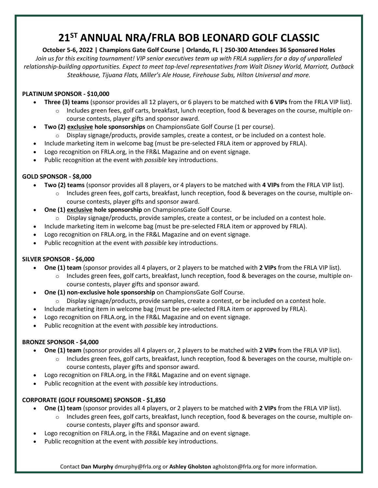# **21ST ANNUAL NRA/FRLA BOB LEONARD GOLF CLASSIC**

**October 5-6, 2022 | Champions Gate Golf Course | Orlando, FL | 250-300 Attendees 36 Sponsored Holes** *Join us for this exciting tournament! VIP senior executives team up with FRLA suppliers for a day of unparalleled relationship-building opportunities. Expect to meet top-level representatives from Walt Disney World, Marriott, Outback Steakhouse, Tijuana Flats, Miller's Ale House, Firehouse Subs, Hilton Universal and more.* 

#### **PLATINUM SPONSOR - \$10,000**

- **Three (3) teams** (sponsor provides all 12 players, or 6 players to be matched with **6 VIPs** from the FRLA VIP list).
	- $\circ$  Includes green fees, golf carts, breakfast, lunch reception, food & beverages on the course, multiple oncourse contests, player gifts and sponsor award.
- **Two (2) exclusive hole sponsorships** on ChampionsGate Golf Course (1 per course).
	- $\circ$  Display signage/products, provide samples, create a contest, or be included on a contest hole.
- Include marketing item in welcome bag (must be pre-selected FRLA item or approved by FRLA).
- Logo recognition on FRLA.org, in the FR&L Magazine and on event signage.
- Public recognition at the event with *possible* key introductions.

#### **GOLD SPONSOR - \$8,000**

- **Two (2) teams** (sponsor provides all 8 players, or 4 players to be matched with **4 VIPs** from the FRLA VIP list).
	- o Includes green fees, golf carts, breakfast, lunch reception, food & beverages on the course, multiple oncourse contests, player gifts and sponsor award.
- **One (1) exclusive hole sponsorship** on ChampionsGate Golf Course.
	- $\circ$  Display signage/products, provide samples, create a contest, or be included on a contest hole.
- Include marketing item in welcome bag (must be pre-selected FRLA item or approved by FRLA).
- Logo recognition on FRLA.org, in the FR&L Magazine and on event signage.
- Public recognition at the event with *possible* key introductions.

#### **SILVER SPONSOR - \$6,000**

- **One (1) team** (sponsor provides all 4 players, or 2 players to be matched with **2 VIPs** from the FRLA VIP list).
	- $\circ$  Includes green fees, golf carts, breakfast, lunch reception, food & beverages on the course, multiple oncourse contests, player gifts and sponsor award.
- **One (1) non-exclusive hole sponsorship** on ChampionsGate Golf Course.
	- $\circ$  Display signage/products, provide samples, create a contest, or be included on a contest hole.
- Include marketing item in welcome bag (must be pre-selected FRLA item or approved by FRLA).
- Logo recognition on FRLA.org, in the FR&L Magazine and on event signage.
- Public recognition at the event with *possible* key introductions.

#### **BRONZE SPONSOR - \$4,000**

- **One (1) team** (sponsor provides all 4 players or, 2 players to be matched with **2 VIPs** from the FRLA VIP list).
	- o Includes green fees, golf carts, breakfast, lunch reception, food & beverages on the course, multiple oncourse contests, player gifts and sponsor award.
- Logo recognition on FRLA.org, in the FR&L Magazine and on event signage.
- Public recognition at the event with *possible* key introductions.

#### **CORPORATE (GOLF FOURSOME) SPONSOR - \$1,850**

- **One (1) team** (sponsor provides all 4 players, or 2 players to be matched with **2 VIPs** from the FRLA VIP list).
	- o Includes green fees, golf carts, breakfast, lunch reception, food & beverages on the course, multiple oncourse contests, player gifts and sponsor award.
- Logo recognition on FRLA.org, in the FR&L Magazine and on event signage.
- Public recognition at the event with *possible* key introductions.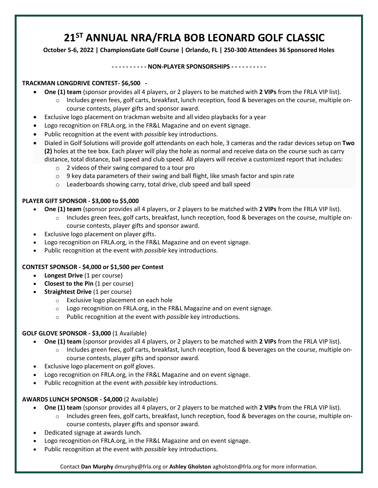# **21 ST ANNUAL NRA/FRLA BOB LEONARD GOLF CLASSIC**

**October 5-6, 2022 | ChampionsGate Golf Course | Orlando, FL | 250-300 Attendees 36 Sponsored Holes**

#### **- - - - - - - - - - NON-PLAYER SPONSORSHIPS - - - - - - - - - -**

#### **TRACKMAN LONGDRIVE CONTEST- \$6,500 -**

- **One (1) team** (sponsor provides all 4 players, or 2 players to be matched with **2 VIPs** from the FRLA VIP list).
	- o Includes green fees, golf carts, breakfast, lunch reception, food & beverages on the course, multiple oncourse contests, player gifts and sponsor award.
- Exclusive logo placement on trackman website and all video playbacks for a year
- Logo recognition on FRLA.org, in the FR&L Magazine and on event signage.
- Public recognition at the event with *possible* key introductions.
- Dialed in Golf Solutions will provide golf attendants on each hole, 3 cameras and the radar devices setup on **Two (2)** holes at the tee box. Each player will play the hole as normal and receive data on the course such as carry distance, total distance, ball speed and club speed. All players will receive a customized report that includes:
	- o 2 videos of their swing compared to a tour pro
	- $\circ$  9 key data parameters of their swing and ball flight, like smash factor and spin rate
	- o Leaderboards showing carry, total drive, club speed and ball speed

#### **PLAYER GIFT SPONSOR - \$3,000 to \$5,000**

- **One (1) team** (sponsor provides all 4 players, or 2 players to be matched with **2 VIPs** from the FRLA VIP list).
	- $\circ$  Includes green fees, golf carts, breakfast, lunch reception, food & beverages on the course, multiple oncourse contests, player gifts and sponsor award.
- Exclusive logo placement on player gifts.
- Logo recognition on FRLA.org, in the FR&L Magazine and on event signage.
- Public recognition at the event with *possible* key introductions.

#### **CONTEST SPONSOR - \$4,000 or \$1,500 per Contest**

- **Longest Drive** (1 per course)
- **Closest to the Pin** (1 per course)
- **Straightest Drive** (1 per course)
	- o Exclusive logo placement on each hole
	- o Logo recognition on FRLA.org, in the FR&L Magazine and on event signage.
	- o Public recognition at the event with *possible* key introductions.

#### **GOLF GLOVE SPONSOR - \$3,000** (1 Available)

- **One (1) team** (sponsor provides all 4 players, or 2 players to be matched with **2 VIPs** from the FRLA VIP list).
	- $\circ$  Includes green fees, golf carts, breakfast, lunch reception, food & beverages on the course, multiple oncourse contests, player gifts and sponsor award.
	- Exclusive logo placement on golf gloves.
	- Logo recognition on FRLA.org, in the FR&L Magazine and on event signage.
- Public recognition at the event with *possible* key introductions.

#### **AWARDS LUNCH SPONSOR - \$4,000** (2 Available)

- **One (1) team** (sponsor provides all 4 players, or 2 players to be matched with **2 VIPs** from the FRLA VIP list).
	- o Includes green fees, golf carts, breakfast, lunch reception, food & beverages on the course, multiple oncourse contests, player gifts and sponsor award.
- Dedicated signage at awards lunch.
- Logo recognition on FRLA.org, in the FR&L Magazine and on event signage.
- Public recognition at the event with *possible* key introductions.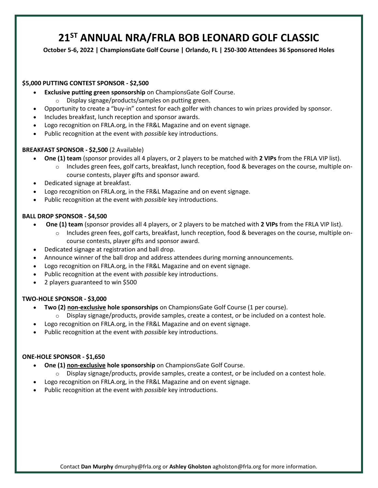# **21 ST ANNUAL NRA/FRLA BOB LEONARD GOLF CLASSIC**

**October 5-6, 2022 | ChampionsGate Golf Course | Orlando, FL | 250-300 Attendees 36 Sponsored Holes**

#### **\$5,000 PUTTING CONTEST SPONSOR - \$2,500**

- **Exclusive putting green sponsorship** on ChampionsGate Golf Course.
	- Display signage/products/samples on putting green.
- Opportunity to create a "buy-in" contest for each golfer with chances to win prizes provided by sponsor.
- Includes breakfast, lunch reception and sponsor awards.
- Logo recognition on FRLA.org, in the FR&L Magazine and on event signage.
- Public recognition at the event with *possible* key introductions.

#### **BREAKFAST SPONSOR - \$2,500** (2 Available)

- **One (1) team** (sponsor provides all 4 players, or 2 players to be matched with **2 VIPs** from the FRLA VIP list).
	- $\circ$  Includes green fees, golf carts, breakfast, lunch reception, food & beverages on the course, multiple oncourse contests, player gifts and sponsor award.
- Dedicated signage at breakfast.
- Logo recognition on FRLA.org, in the FR&L Magazine and on event signage.
- Public recognition at the event with *possible* key introductions.

#### **BALL DROP SPONSOR - \$4,500**

- **One (1) team** (sponsor provides all 4 players, or 2 players to be matched with **2 VIPs** from the FRLA VIP list).
	- $\circ$  Includes green fees, golf carts, breakfast, lunch reception, food & beverages on the course, multiple oncourse contests, player gifts and sponsor award.
- Dedicated signage at registration and ball drop.
- Announce winner of the ball drop and address attendees during morning announcements.
- Logo recognition on FRLA.org, in the FR&L Magazine and on event signage.
- Public recognition at the event with *possible* key introductions.
- 2 players guaranteed to win \$500

#### **TWO-HOLE SPONSOR - \$3,000**

- **Two (2) non-exclusive hole sponsorships** on ChampionsGate Golf Course (1 per course).
	- $\circ$  Display signage/products, provide samples, create a contest, or be included on a contest hole.
- Logo recognition on FRLA.org, in the FR&L Magazine and on event signage.
- Public recognition at the event with *possible* key introductions.

#### **ONE-HOLE SPONSOR - \$1,650**

- **One (1) non-exclusive hole sponsorship** on ChampionsGate Golf Course.
	- $\circ$  Display signage/products, provide samples, create a contest, or be included on a contest hole.
- Logo recognition on FRLA.org, in the FR&L Magazine and on event signage.
- Public recognition at the event with *possible* key introductions.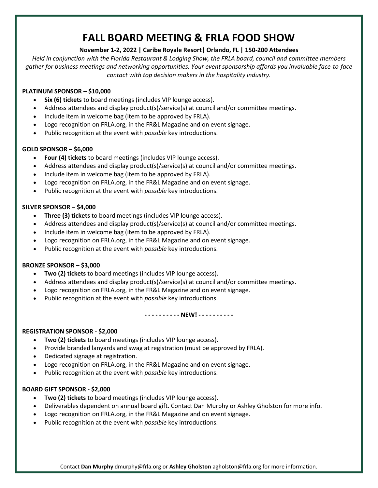## **FALL BOARD MEETING & FRLA FOOD SHOW**

#### **November 1-2, 2022 | Caribe Royale Resort| Orlando, FL | 150-200 Attendees**

*Held in conjunction with the Florida Restaurant & Lodging Show, the FRLA board, council and committee members gather for business meetings and networking opportunities. Your event sponsorship affords you invaluable face-to-face contact with top decision makers in the hospitality industry.*

#### **PLATINUM SPONSOR – \$10,000**

- **Six (6) tickets** to board meetings (includes VIP lounge access).
- Address attendees and display product(s)/service(s) at council and/or committee meetings.
- Include item in welcome bag (item to be approved by FRLA).
- Logo recognition on FRLA.org, in the FR&L Magazine and on event signage.
- Public recognition at the event with *possible* key introductions.

#### **GOLD SPONSOR – \$6,000**

- **Four (4) tickets** to board meetings (includes VIP lounge access).
- Address attendees and display product(s)/service(s) at council and/or committee meetings.
- Include item in welcome bag (item to be approved by FRLA).
- Logo recognition on FRLA.org, in the FR&L Magazine and on event signage.
- Public recognition at the event with *possible* key introductions.

#### **SILVER SPONSOR – \$4,000**

- **Three (3) tickets** to board meetings (includes VIP lounge access).
- Address attendees and display product(s)/service(s) at council and/or committee meetings.
- Include item in welcome bag (item to be approved by FRLA).
- Logo recognition on FRLA.org, in the FR&L Magazine and on event signage.
- Public recognition at the event with *possible* key introductions.

#### **BRONZE SPONSOR – \$3,000**

- **Two (2) tickets** to board meetings (includes VIP lounge access).
- Address attendees and display product(s)/service(s) at council and/or committee meetings.
- Logo recognition on FRLA.org, in the FR&L Magazine and on event signage.
- Public recognition at the event with *possible* key introductions.

**- - - - - - - - - - NEW! - - - - - - - - - -**

#### **REGISTRATION SPONSOR - \$2,000**

- **Two (2) tickets** to board meetings (includes VIP lounge access).
- Provide branded lanyards and swag at registration (must be approved by FRLA).
- Dedicated signage at registration.
- Logo recognition on FRLA.org, in the FR&L Magazine and on event signage.
- Public recognition at the event with *possible* key introductions.

#### **BOARD GIFT SPONSOR - \$2,000**

- **Two (2) tickets** to board meetings (includes VIP lounge access).
- Deliverables dependent on annual board gift. Contact Dan Murphy or Ashley Gholston for more info.
- Logo recognition on FRLA.org, in the FR&L Magazine and on event signage.
- Public recognition at the event with *possible* key introductions.